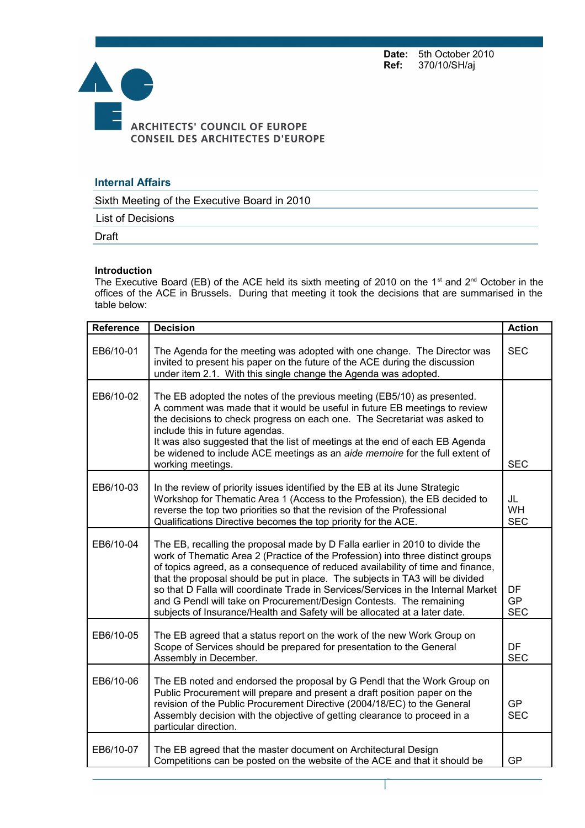Date: 5th October 2010<br>Ref: 370/10/SH/aj **Ref:** 370/10/SH/aj



## **Internal Affairs**

Sixth Meeting of the Executive Board in 2010

List of Decisions

Draft

## **Introduction**

The Executive Board (EB) of the ACE held its sixth meeting of 2010 on the 1<sup>st</sup> and 2<sup>nd</sup> October in the offices of the ACE in Brussels. During that meeting it took the decisions that are summarised in the table below:

| <b>Reference</b> | <b>Decision</b>                                                                                                                                                                                                                                                                                                                                                                                                                                                                                                                                                               | <b>Action</b>                 |
|------------------|-------------------------------------------------------------------------------------------------------------------------------------------------------------------------------------------------------------------------------------------------------------------------------------------------------------------------------------------------------------------------------------------------------------------------------------------------------------------------------------------------------------------------------------------------------------------------------|-------------------------------|
| EB6/10-01        | The Agenda for the meeting was adopted with one change. The Director was<br>invited to present his paper on the future of the ACE during the discussion<br>under item 2.1. With this single change the Agenda was adopted.                                                                                                                                                                                                                                                                                                                                                    | <b>SEC</b>                    |
| EB6/10-02        | The EB adopted the notes of the previous meeting (EB5/10) as presented.<br>A comment was made that it would be useful in future EB meetings to review<br>the decisions to check progress on each one. The Secretariat was asked to<br>include this in future agendas.<br>It was also suggested that the list of meetings at the end of each EB Agenda<br>be widened to include ACE meetings as an aide memoire for the full extent of<br>working meetings.                                                                                                                    | <b>SEC</b>                    |
| EB6/10-03        | In the review of priority issues identified by the EB at its June Strategic<br>Workshop for Thematic Area 1 (Access to the Profession), the EB decided to<br>reverse the top two priorities so that the revision of the Professional<br>Qualifications Directive becomes the top priority for the ACE.                                                                                                                                                                                                                                                                        | JL<br><b>WH</b><br><b>SEC</b> |
| EB6/10-04        | The EB, recalling the proposal made by D Falla earlier in 2010 to divide the<br>work of Thematic Area 2 (Practice of the Profession) into three distinct groups<br>of topics agreed, as a consequence of reduced availability of time and finance,<br>that the proposal should be put in place. The subjects in TA3 will be divided<br>so that D Falla will coordinate Trade in Services/Services in the Internal Market<br>and G Pendl will take on Procurement/Design Contests. The remaining<br>subjects of Insurance/Health and Safety will be allocated at a later date. | DF<br><b>GP</b><br><b>SEC</b> |
| EB6/10-05        | The EB agreed that a status report on the work of the new Work Group on<br>Scope of Services should be prepared for presentation to the General<br>Assembly in December.                                                                                                                                                                                                                                                                                                                                                                                                      | <b>DF</b><br><b>SEC</b>       |
| EB6/10-06        | The EB noted and endorsed the proposal by G Pendl that the Work Group on<br>Public Procurement will prepare and present a draft position paper on the<br>revision of the Public Procurement Directive (2004/18/EC) to the General<br>Assembly decision with the objective of getting clearance to proceed in a<br>particular direction.                                                                                                                                                                                                                                       | <b>GP</b><br><b>SEC</b>       |
| EB6/10-07        | The EB agreed that the master document on Architectural Design<br>Competitions can be posted on the website of the ACE and that it should be                                                                                                                                                                                                                                                                                                                                                                                                                                  | <b>GP</b>                     |

Page 1 sur 5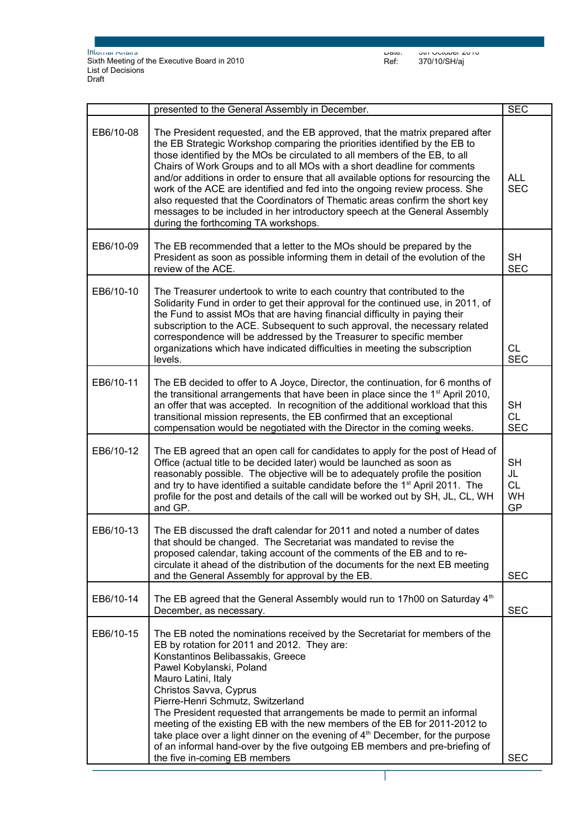|           | presented to the General Assembly in December.                                                                                                                                                                                                                                                                                                                                                                                                                                                                                                                                                                                                                                                | <b>SEC</b>                               |
|-----------|-----------------------------------------------------------------------------------------------------------------------------------------------------------------------------------------------------------------------------------------------------------------------------------------------------------------------------------------------------------------------------------------------------------------------------------------------------------------------------------------------------------------------------------------------------------------------------------------------------------------------------------------------------------------------------------------------|------------------------------------------|
| EB6/10-08 | The President requested, and the EB approved, that the matrix prepared after<br>the EB Strategic Workshop comparing the priorities identified by the EB to<br>those identified by the MOs be circulated to all members of the EB, to all<br>Chairs of Work Groups and to all MOs with a short deadline for comments<br>and/or additions in order to ensure that all available options for resourcing the<br>work of the ACE are identified and fed into the ongoing review process. She<br>also requested that the Coordinators of Thematic areas confirm the short key<br>messages to be included in her introductory speech at the General Assembly<br>during the forthcoming TA workshops. | <b>ALL</b><br><b>SEC</b>                 |
| EB6/10-09 | The EB recommended that a letter to the MOs should be prepared by the<br>President as soon as possible informing them in detail of the evolution of the<br>review of the ACE.                                                                                                                                                                                                                                                                                                                                                                                                                                                                                                                 | <b>SH</b><br><b>SEC</b>                  |
| EB6/10-10 | The Treasurer undertook to write to each country that contributed to the<br>Solidarity Fund in order to get their approval for the continued use, in 2011, of<br>the Fund to assist MOs that are having financial difficulty in paying their<br>subscription to the ACE. Subsequent to such approval, the necessary related<br>correspondence will be addressed by the Treasurer to specific member<br>organizations which have indicated difficulties in meeting the subscription<br>levels.                                                                                                                                                                                                 | <b>CL</b><br><b>SEC</b>                  |
| EB6/10-11 | The EB decided to offer to A Joyce, Director, the continuation, for 6 months of<br>the transitional arrangements that have been in place since the 1 <sup>st</sup> April 2010,<br>an offer that was accepted. In recognition of the additional workload that this<br>transitional mission represents, the EB confirmed that an exceptional<br>compensation would be negotiated with the Director in the coming weeks.                                                                                                                                                                                                                                                                         | <b>SH</b><br><b>CL</b><br><b>SEC</b>     |
| EB6/10-12 | The EB agreed that an open call for candidates to apply for the post of Head of<br>Office (actual title to be decided later) would be launched as soon as<br>reasonably possible. The objective will be to adequately profile the position<br>and try to have identified a suitable candidate before the 1 <sup>st</sup> April 2011. The<br>profile for the post and details of the call will be worked out by SH, JL, CL, WH<br>and GP.                                                                                                                                                                                                                                                      | <b>SH</b><br>JL<br><b>CL</b><br>WH<br>GP |
| EB6/10-13 | The EB discussed the draft calendar for 2011 and noted a number of dates<br>that should be changed. The Secretariat was mandated to revise the<br>proposed calendar, taking account of the comments of the EB and to re-<br>circulate it ahead of the distribution of the documents for the next EB meeting<br>and the General Assembly for approval by the EB.                                                                                                                                                                                                                                                                                                                               | <b>SEC</b>                               |
| EB6/10-14 | The EB agreed that the General Assembly would run to 17h00 on Saturday 4 <sup>th</sup><br>December, as necessary.                                                                                                                                                                                                                                                                                                                                                                                                                                                                                                                                                                             | <b>SEC</b>                               |
| EB6/10-15 | The EB noted the nominations received by the Secretariat for members of the<br>EB by rotation for 2011 and 2012. They are:<br>Konstantinos Belibassakis, Greece<br>Pawel Kobylanski, Poland<br>Mauro Latini, Italy<br>Christos Savva, Cyprus<br>Pierre-Henri Schmutz, Switzerland<br>The President requested that arrangements be made to permit an informal<br>meeting of the existing EB with the new members of the EB for 2011-2012 to<br>take place over a light dinner on the evening of $4th$ December, for the purpose<br>of an informal hand-over by the five outgoing EB members and pre-briefing of<br>the five in-coming EB members                                               | <b>SEC</b>                               |

Page 2 sur 5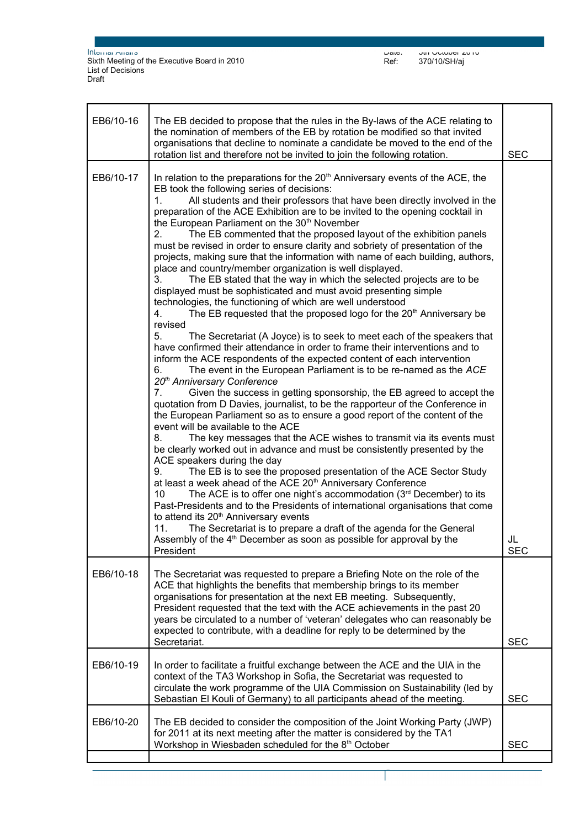Date: 5th October 2010 Ref: 370/10/SH/aj

| EB6/10-16 | The EB decided to propose that the rules in the By-laws of the ACE relating to<br>the nomination of members of the EB by rotation be modified so that invited<br>organisations that decline to nominate a candidate be moved to the end of the<br>rotation list and therefore not be invited to join the following rotation.                                                                                                                                                                                                                                                                                                                                                                                                                                                                                                                                                                                                                                                                                                                                                                                                                                                                                                                                                                                                                                                                                                                                                                                                                                                                                                                                                                                                                                                                                                                                                                                                                                                                                                                                                                                                                                                                                                                                                                                                                                                                                                                          | <b>SEC</b>       |
|-----------|-------------------------------------------------------------------------------------------------------------------------------------------------------------------------------------------------------------------------------------------------------------------------------------------------------------------------------------------------------------------------------------------------------------------------------------------------------------------------------------------------------------------------------------------------------------------------------------------------------------------------------------------------------------------------------------------------------------------------------------------------------------------------------------------------------------------------------------------------------------------------------------------------------------------------------------------------------------------------------------------------------------------------------------------------------------------------------------------------------------------------------------------------------------------------------------------------------------------------------------------------------------------------------------------------------------------------------------------------------------------------------------------------------------------------------------------------------------------------------------------------------------------------------------------------------------------------------------------------------------------------------------------------------------------------------------------------------------------------------------------------------------------------------------------------------------------------------------------------------------------------------------------------------------------------------------------------------------------------------------------------------------------------------------------------------------------------------------------------------------------------------------------------------------------------------------------------------------------------------------------------------------------------------------------------------------------------------------------------------------------------------------------------------------------------------------------------------|------------------|
| EB6/10-17 | In relation to the preparations for the 20 <sup>th</sup> Anniversary events of the ACE, the<br>EB took the following series of decisions:<br>All students and their professors that have been directly involved in the<br>1.<br>preparation of the ACE Exhibition are to be invited to the opening cocktail in<br>the European Parliament on the 30 <sup>th</sup> November<br>2.<br>The EB commented that the proposed layout of the exhibition panels<br>must be revised in order to ensure clarity and sobriety of presentation of the<br>projects, making sure that the information with name of each building, authors,<br>place and country/member organization is well displayed.<br>The EB stated that the way in which the selected projects are to be<br>3.<br>displayed must be sophisticated and must avoid presenting simple<br>technologies, the functioning of which are well understood<br>The EB requested that the proposed logo for the 20 <sup>th</sup> Anniversary be<br>4.<br>revised<br>5.<br>The Secretariat (A Joyce) is to seek to meet each of the speakers that<br>have confirmed their attendance in order to frame their interventions and to<br>inform the ACE respondents of the expected content of each intervention<br>The event in the European Parliament is to be re-named as the ACE<br>6.<br>20 <sup>th</sup> Anniversary Conference<br>$7_{\scriptscriptstyle{\sim}}$<br>Given the success in getting sponsorship, the EB agreed to accept the<br>quotation from D Davies, journalist, to be the rapporteur of the Conference in<br>the European Parliament so as to ensure a good report of the content of the<br>event will be available to the ACE<br>The key messages that the ACE wishes to transmit via its events must<br>8.<br>be clearly worked out in advance and must be consistently presented by the<br>ACE speakers during the day<br>The EB is to see the proposed presentation of the ACE Sector Study<br>9.<br>at least a week ahead of the ACE 20 <sup>th</sup> Anniversary Conference<br>The ACE is to offer one night's accommodation $(3rd$ December) to its<br>10<br>Past-Presidents and to the Presidents of international organisations that come<br>to attend its 20 <sup>th</sup> Anniversary events<br>The Secretariat is to prepare a draft of the agenda for the General<br>11.<br>Assembly of the 4 <sup>th</sup> December as soon as possible for approval by the<br>President | JL<br><b>SEC</b> |
| EB6/10-18 | The Secretariat was requested to prepare a Briefing Note on the role of the<br>ACE that highlights the benefits that membership brings to its member<br>organisations for presentation at the next EB meeting. Subsequently,<br>President requested that the text with the ACE achievements in the past 20<br>years be circulated to a number of 'veteran' delegates who can reasonably be<br>expected to contribute, with a deadline for reply to be determined by the<br>Secretariat.                                                                                                                                                                                                                                                                                                                                                                                                                                                                                                                                                                                                                                                                                                                                                                                                                                                                                                                                                                                                                                                                                                                                                                                                                                                                                                                                                                                                                                                                                                                                                                                                                                                                                                                                                                                                                                                                                                                                                               | <b>SEC</b>       |
| EB6/10-19 | In order to facilitate a fruitful exchange between the ACE and the UIA in the<br>context of the TA3 Workshop in Sofia, the Secretariat was requested to<br>circulate the work programme of the UIA Commission on Sustainability (led by<br>Sebastian El Kouli of Germany) to all participants ahead of the meeting.                                                                                                                                                                                                                                                                                                                                                                                                                                                                                                                                                                                                                                                                                                                                                                                                                                                                                                                                                                                                                                                                                                                                                                                                                                                                                                                                                                                                                                                                                                                                                                                                                                                                                                                                                                                                                                                                                                                                                                                                                                                                                                                                   | <b>SEC</b>       |
| EB6/10-20 | The EB decided to consider the composition of the Joint Working Party (JWP)<br>for 2011 at its next meeting after the matter is considered by the TA1<br>Workshop in Wiesbaden scheduled for the 8 <sup>th</sup> October                                                                                                                                                                                                                                                                                                                                                                                                                                                                                                                                                                                                                                                                                                                                                                                                                                                                                                                                                                                                                                                                                                                                                                                                                                                                                                                                                                                                                                                                                                                                                                                                                                                                                                                                                                                                                                                                                                                                                                                                                                                                                                                                                                                                                              | <b>SEC</b>       |

Page 3 sur 5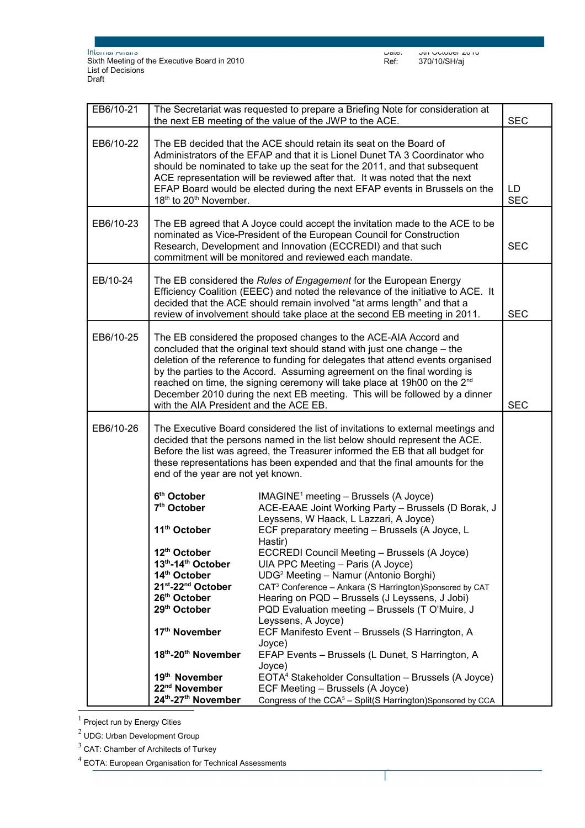Page 4 sur 5

I

| EB6/10-21 | The Secretariat was requested to prepare a Briefing Note for consideration at<br><b>SEC</b><br>the next EB meeting of the value of the JWP to the ACE.                                                                                                                                                                                                                                                                                                                                                                                      |                                                                                                                                                                                                                                                                                                                                                 |            |  |
|-----------|---------------------------------------------------------------------------------------------------------------------------------------------------------------------------------------------------------------------------------------------------------------------------------------------------------------------------------------------------------------------------------------------------------------------------------------------------------------------------------------------------------------------------------------------|-------------------------------------------------------------------------------------------------------------------------------------------------------------------------------------------------------------------------------------------------------------------------------------------------------------------------------------------------|------------|--|
| EB6/10-22 | The EB decided that the ACE should retain its seat on the Board of<br>Administrators of the EFAP and that it is Lionel Dunet TA 3 Coordinator who<br>should be nominated to take up the seat for the 2011, and that subsequent<br>ACE representation will be reviewed after that. It was noted that the next<br>EFAP Board would be elected during the next EFAP events in Brussels on the<br>18 <sup>th</sup> to 20 <sup>th</sup> November.                                                                                                |                                                                                                                                                                                                                                                                                                                                                 |            |  |
| EB6/10-23 | The EB agreed that A Joyce could accept the invitation made to the ACE to be<br>nominated as Vice-President of the European Council for Construction<br>Research, Development and Innovation (ECCREDI) and that such<br>commitment will be monitored and reviewed each mandate.                                                                                                                                                                                                                                                             |                                                                                                                                                                                                                                                                                                                                                 |            |  |
| EB/10-24  |                                                                                                                                                                                                                                                                                                                                                                                                                                                                                                                                             | The EB considered the Rules of Engagement for the European Energy<br>Efficiency Coalition (EEEC) and noted the relevance of the initiative to ACE. It<br>decided that the ACE should remain involved "at arms length" and that a<br>review of involvement should take place at the second EB meeting in 2011.                                   | <b>SEC</b> |  |
| EB6/10-25 | The EB considered the proposed changes to the ACE-AIA Accord and<br>concluded that the original text should stand with just one change – the<br>deletion of the reference to funding for delegates that attend events organised<br>by the parties to the Accord. Assuming agreement on the final wording is<br>reached on time, the signing ceremony will take place at 19h00 on the 2 <sup>nd</sup><br>December 2010 during the next EB meeting. This will be followed by a dinner<br>with the AIA President and the ACE EB.<br><b>SEC</b> |                                                                                                                                                                                                                                                                                                                                                 |            |  |
| EB6/10-26 | The Executive Board considered the list of invitations to external meetings and<br>decided that the persons named in the list below should represent the ACE.<br>Before the list was agreed, the Treasurer informed the EB that all budget for<br>these representations has been expended and that the final amounts for the<br>end of the year are not yet known.                                                                                                                                                                          |                                                                                                                                                                                                                                                                                                                                                 |            |  |
|           | 6 <sup>th</sup> October<br>7 <sup>th</sup> October<br>11 <sup>th</sup> October<br>12 <sup>th</sup> October<br>13th-14th October<br>14th October                                                                                                                                                                                                                                                                                                                                                                                             | $IMAGINE1 meeting - Brussels (A Joyce)$<br>ACE-EAAE Joint Working Party - Brussels (D Borak, J<br>Leyssens, W Haack, L Lazzari, A Joyce)<br>ECF preparatory meeting - Brussels (A Joyce, L<br>Hastir)<br>ECCREDI Council Meeting - Brussels (A Joyce)<br>UIA PPC Meeting - Paris (A Joyce)<br>UDG <sup>2</sup> Meeting - Namur (Antonio Borghi) |            |  |
|           | 21st-22 <sup>nd</sup> October<br>26th October<br>29 <sup>th</sup> October<br>17 <sup>th</sup> November                                                                                                                                                                                                                                                                                                                                                                                                                                      | CAT <sup>3</sup> Conference - Ankara (S Harrington)Sponsored by CAT<br>Hearing on PQD - Brussels (J Leyssens, J Jobi)<br>PQD Evaluation meeting - Brussels (T O'Muire, J<br>Leyssens, A Joyce)<br>ECF Manifesto Event - Brussels (S Harrington, A                                                                                               |            |  |
|           | 18th-20th November<br>19 <sup>th</sup> November                                                                                                                                                                                                                                                                                                                                                                                                                                                                                             | Joyce)<br>EFAP Events - Brussels (L Dunet, S Harrington, A<br>Joyce)<br>EOTA <sup>4</sup> Stakeholder Consultation - Brussels (A Joyce)                                                                                                                                                                                                         |            |  |
|           | 22 <sup>nd</sup> November<br>24th-27th November                                                                                                                                                                                                                                                                                                                                                                                                                                                                                             | ECF Meeting - Brussels (A Joyce)<br>Congress of the CCA <sup>5</sup> - Split(S Harrington)Sponsored by CCA                                                                                                                                                                                                                                      |            |  |

<span id="page-3-0"></span> $<sup>1</sup>$  Project run by Energy Cities</sup>

<span id="page-3-1"></span> $^2$  UDG: Urban Development Group

<span id="page-3-2"></span> $3$  CAT: Chamber of Architects of Turkey

<span id="page-3-3"></span> $4$  EOTA: European Organisation for Technical Assessments